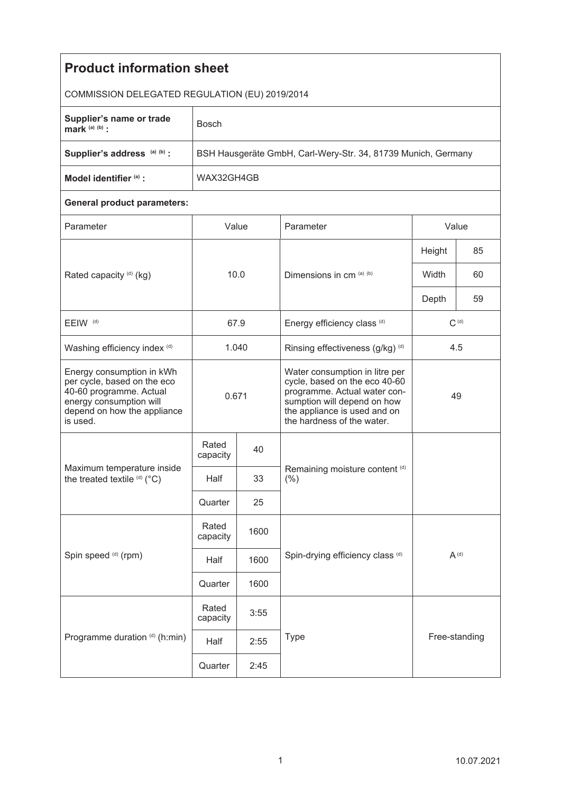| <b>Product information sheet</b>                                                                                                                          |                                                               |              |                                                                                                                                                                                              |           |               |  |  |  |
|-----------------------------------------------------------------------------------------------------------------------------------------------------------|---------------------------------------------------------------|--------------|----------------------------------------------------------------------------------------------------------------------------------------------------------------------------------------------|-----------|---------------|--|--|--|
| COMMISSION DELEGATED REGULATION (EU) 2019/2014                                                                                                            |                                                               |              |                                                                                                                                                                                              |           |               |  |  |  |
|                                                                                                                                                           |                                                               |              |                                                                                                                                                                                              |           |               |  |  |  |
| Supplier's name or trade<br>mark $(a)$ $(b)$ :                                                                                                            | <b>Bosch</b>                                                  |              |                                                                                                                                                                                              |           |               |  |  |  |
| Supplier's address (a) (b) :                                                                                                                              | BSH Hausgeräte GmbH, Carl-Wery-Str. 34, 81739 Munich, Germany |              |                                                                                                                                                                                              |           |               |  |  |  |
| Model identifier (a) :                                                                                                                                    | WAX32GH4GB                                                    |              |                                                                                                                                                                                              |           |               |  |  |  |
| <b>General product parameters:</b>                                                                                                                        |                                                               |              |                                                                                                                                                                                              |           |               |  |  |  |
| Parameter                                                                                                                                                 | Value                                                         |              | Parameter                                                                                                                                                                                    | Value     |               |  |  |  |
| Rated capacity (d) (kg)                                                                                                                                   | 10.0                                                          |              | Dimensions in cm (a) (b)                                                                                                                                                                     | Height    | 85            |  |  |  |
|                                                                                                                                                           |                                                               |              |                                                                                                                                                                                              | Width     | 60            |  |  |  |
|                                                                                                                                                           |                                                               |              |                                                                                                                                                                                              | Depth     | 59            |  |  |  |
| EEIW <sup>(d)</sup>                                                                                                                                       | 67.9                                                          |              | Energy efficiency class (d)                                                                                                                                                                  | $C^{(d)}$ |               |  |  |  |
| Washing efficiency index (d)                                                                                                                              | 1.040                                                         |              | Rinsing effectiveness (g/kg) (d)                                                                                                                                                             | 4.5       |               |  |  |  |
| Energy consumption in kWh<br>per cycle, based on the eco<br>40-60 programme. Actual<br>energy consumption will<br>depend on how the appliance<br>is used. | 0.671                                                         |              | Water consumption in litre per<br>cycle, based on the eco 40-60<br>programme. Actual water con-<br>sumption will depend on how<br>the appliance is used and on<br>the hardness of the water. | 49        |               |  |  |  |
| Maximum temperature inside<br>the treated textile (d) (°C)                                                                                                | Rated<br>capacity                                             | 40           |                                                                                                                                                                                              |           |               |  |  |  |
|                                                                                                                                                           | Half                                                          | 33           | Remaining moisture content (d)<br>$(\% )$                                                                                                                                                    |           |               |  |  |  |
|                                                                                                                                                           | Quarter                                                       | 25           |                                                                                                                                                                                              |           |               |  |  |  |
| Spin speed (d) (rpm)                                                                                                                                      | Rated<br>capacity                                             | 1600         | $A^{(d)}$<br>Spin-drying efficiency class (d)                                                                                                                                                |           |               |  |  |  |
|                                                                                                                                                           | Half                                                          | 1600         |                                                                                                                                                                                              |           |               |  |  |  |
|                                                                                                                                                           | Quarter                                                       | 1600         |                                                                                                                                                                                              |           |               |  |  |  |
| Programme duration (d) (h:min)                                                                                                                            | Rated<br>capacity                                             | 3:55         |                                                                                                                                                                                              |           |               |  |  |  |
|                                                                                                                                                           | Half                                                          | Type<br>2:55 |                                                                                                                                                                                              |           | Free-standing |  |  |  |
|                                                                                                                                                           | Quarter                                                       | 2:45         |                                                                                                                                                                                              |           |               |  |  |  |